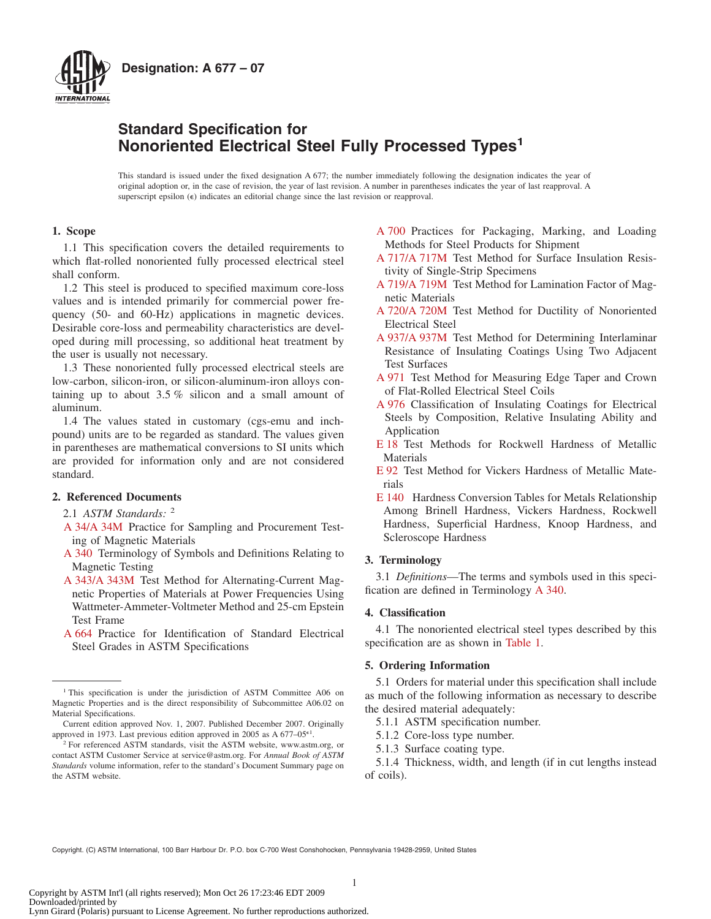

## **Standard Specification for Nonoriented Electrical Steel Fully Processed Types<sup>1</sup>**

This standard is issued under the fixed designation A 677; the number immediately following the designation indicates the year of original adoption or, in the case of revision, the year of last revision. A number in parentheses indicates the year of last reapproval. A superscript epsilon (e) indicates an editorial change since the last revision or reapproval.

## **1. Scope**

1.1 This specification covers the detailed requirements to which flat-rolled nonoriented fully processed electrical steel shall conform.

1.2 This steel is produced to specified maximum core-loss values and is intended primarily for commercial power frequency (50- and 60-Hz) applications in magnetic devices. Desirable core-loss and permeability characteristics are developed during mill processing, so additional heat treatment by the user is usually not necessary.

1.3 These nonoriented fully processed electrical steels are low-carbon, silicon-iron, or silicon-aluminum-iron alloys containing up to about  $3.5\%$  silicon and a small amount of aluminum.

1.4 The values stated in customary (cgs-emu and inchpound) units are to be regarded as standard. The values given in parentheses are mathematical conversions to SI units which are provided for information only and are not considered standard.

## **2. Referenced Documents**

2.1 *ASTM Standards:* <sup>2</sup>

- [A 34/A 34M](#page-2-0) Practice for Sampling and Procurement Testing of Magnetic Materials
- [A 340](#page-0-0) Terminology of Symbols and Definitions Relating to Magnetic Testing
- [A 343/A 343M](#page-3-0) Test Method for Alternating-Current Magnetic Properties of Materials at Power Frequencies Using Wattmeter-Ammeter-Voltmeter Method and 25-cm Epstein Test Frame
- [A 664](#page-1-0) Practice for Identification of Standard Electrical Steel Grades in ASTM Specifications
- <span id="page-0-9"></span><span id="page-0-3"></span>[A 700](#page-3-1) Practices for Packaging, Marking, and Loading Methods for Steel Products for Shipment
- <span id="page-0-11"></span>[A 717/A 717M](#page-1-1) Test Method for Surface Insulation Resistivity of Single-Strip Specimens
- [A 719/A 719M](#page-2-1) Test Method for Lamination Factor of Magnetic Materials
- <span id="page-0-14"></span>[A 720/A 720M](#page-2-2) Test Method for Ductility of Nonoriented Electrical Steel
- <span id="page-0-4"></span>[A 937/A 937M](#page-1-1) Test Method for Determining Interlaminar Resistance of Insulating Coatings Using Two Adjacent Test Surfaces
- <span id="page-0-7"></span>[A 971](#page-2-3) Test Method for Measuring Edge Taper and Crown of Flat-Rolled Electrical Steel Coils
- <span id="page-0-2"></span>[A 976](#page-1-2) Classification of Insulating Coatings for Electrical Steels by Composition, Relative Insulating Ability and Application
- <span id="page-0-12"></span>[E 18](#page-2-4) Test Methods for Rockwell Hardness of Metallic Materials
- <span id="page-0-6"></span>[E 92](#page-2-4) Test Method for Vickers Hardness of Metallic Materials
- <span id="page-0-13"></span><span id="page-0-10"></span><span id="page-0-8"></span><span id="page-0-1"></span>[E 140](#page-4-0) Hardness Conversion Tables for Metals Relationship Among Brinell Hardness, Vickers Hardness, Rockwell Hardness, Superficial Hardness, Knoop Hardness, and Scleroscope Hardness

## **3. Terminology**

<span id="page-0-0"></span>3.1 *Definitions*—The terms and symbols used in this specification are defined in Terminology [A 340.](#page-1-3)

## <span id="page-0-5"></span>**4. Classification**

4.1 The nonoriented electrical steel types described by this specification are as shown in [Table 1.](#page-1-4)

## **5. Ordering Information**

5.1 Orders for material under this specification shall include as much of the following information as necessary to describe the desired material adequately:

- 5.1.1 ASTM specification number.
- 5.1.2 Core-loss type number.
- 5.1.3 Surface coating type.

5.1.4 Thickness, width, and length (if in cut lengths instead of coils).

Copyright. (C) ASTM International, 100 Barr Harbour Dr. P.O. box C-700 West Conshohocken, Pennsylvania 19428-2959, United States

<sup>&</sup>lt;sup>1</sup> This specification is under the jurisdiction of ASTM Committee A06 on Magnetic Properties and is the direct responsibility of Subcommittee A06.02 on Material Specifications.

Current edition approved Nov. 1, 2007. Published December 2007. Originally approved in 1973. Last previous edition approved in 2005 as A  $677-05$ <sup>e1</sup>.

<sup>&</sup>lt;sup>2</sup> For referenced ASTM standards, visit the ASTM website, www.astm.org, or contact ASTM Customer Service at service@astm.org. For *Annual Book of ASTM Standards* volume information, refer to the standard's Document Summary page on the ASTM website.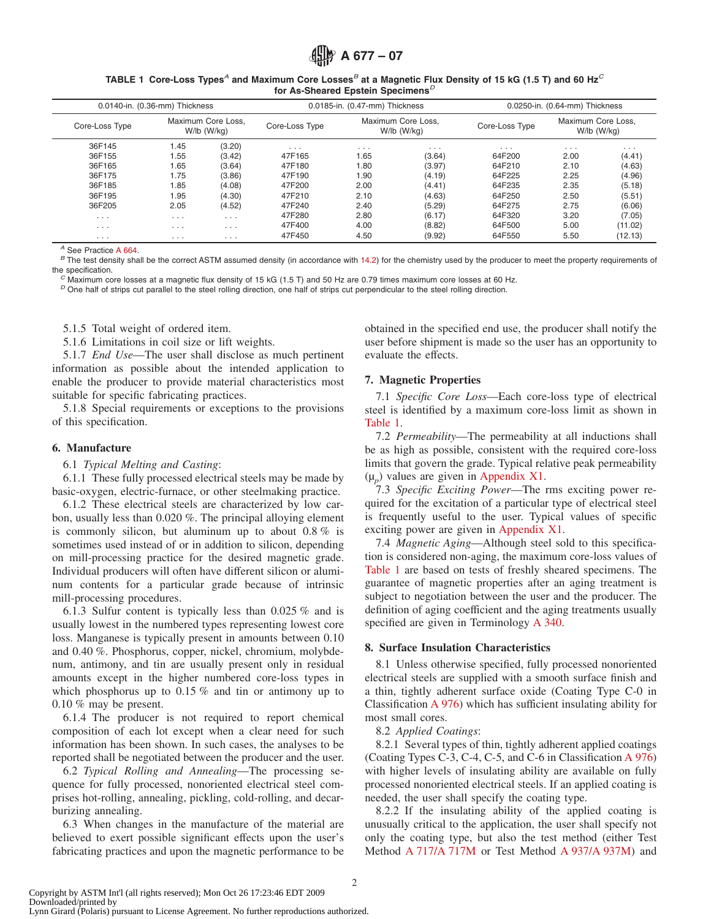#### **TABLE 1 Core-Loss Types***<sup>A</sup>* **and Maximum Core Losses***<sup>B</sup>* **at a Magnetic Flux Density of 15 kG (1.5 T) and 60 Hz***<sup>C</sup>* **for As-Sheared Epstein Specimens***<sup>D</sup>*

| 0.0140-in. (0.36-mm) Thickness |          | 0.0185-in. (0.47-mm) Thickness    |                                                     |          | 0.0250-in. (0.64-mm) Thickness                      |          |          |          |
|--------------------------------|----------|-----------------------------------|-----------------------------------------------------|----------|-----------------------------------------------------|----------|----------|----------|
| Core-Loss Type                 |          | Maximum Core Loss.<br>W/lb (W/kg) | Maximum Core Loss.<br>Core-Loss Type<br>W/lb (W/kg) |          | Maximum Core Loss.<br>Core-Loss Type<br>$W1$ (W/kg) |          |          |          |
| 36F145                         | 1.45     | (3.20)                            | $\cdots$                                            | $\cdots$ | $\cdots$                                            | $\cdots$ | $\cdots$ | $\cdots$ |
| 36F155                         | 1.55     | (3.42)                            | 47F165                                              | 1.65     | (3.64)                                              | 64F200   | 2.00     | (4.41)   |
| 36F165                         | 1.65     | (3.64)                            | 47F180                                              | 1.80     | (3.97)                                              | 64F210   | 2.10     | (4.63)   |
| 36F175                         | 1.75     | (3.86)                            | 47F190                                              | 1.90     | (4.19)                                              | 64F225   | 2.25     | (4.96)   |
| 36F185                         | 1.85     | (4.08)                            | 47F200                                              | 2.00     | (4.41)                                              | 64F235   | 2.35     | (5.18)   |
| 36F195                         | 1.95     | (4.30)                            | 47F210                                              | 2.10     | (4.63)                                              | 64F250   | 2.50     | (5.51)   |
| 36F205                         | 2.05     | (4.52)                            | 47F240                                              | 2.40     | (5.29)                                              | 64F275   | 2.75     | (6.06)   |
| $\cdots$                       | $\cdots$ | $\cdots$                          | 47F280                                              | 2.80     | (6.17)                                              | 64F320   | 3.20     | (7.05)   |
| $\cdots$                       | $\cdots$ | $\cdots$                          | 47F400                                              | 4.00     | (8.82)                                              | 64F500   | 5.00     | (11.02)  |
| $\cdots$                       | $\cdots$ | .                                 | 47F450                                              | 4.50     | (9.92)                                              | 64F550   | 5.50     | (12.13)  |

<sup>A</sup> See Practice [A 664.](#page-0-5)<br><sup>B</sup> The test density shall be the correct ASTM assumed density (in accordance with [14.2\)](#page-3-2) for the chemistry used by the producer to meet the property requirements of<br>the specification.

 $\degree$  Maximum core losses at a magnetic flux density of 15 kG (1.5 T) and 50 Hz are 0.79 times maximum core losses at 60 Hz.<br> $\degree$  One half of strips cut parallel to the steel rolling direction, one half of strips cut perpe

5.1.5 Total weight of ordered item.

5.1.6 Limitations in coil size or lift weights.

5.1.7 *End Use*—The user shall disclose as much pertinent information as possible about the intended application to enable the producer to provide material characteristics most suitable for specific fabricating practices.

5.1.8 Special requirements or exceptions to the provisions of this specification.

## **6. Manufacture**

#### 6.1 *Typical Melting and Casting*:

6.1.1 These fully processed electrical steels may be made by basic-oxygen, electric-furnace, or other steelmaking practice.

6.1.2 These electrical steels are characterized by low carbon, usually less than 0.020 %. The principal alloying element is commonly silicon, but aluminum up to about 0.8 % is sometimes used instead of or in addition to silicon, depending on mill-processing practice for the desired magnetic grade. Individual producers will often have different silicon or aluminum contents for a particular grade because of intrinsic mill-processing procedures.

6.1.3 Sulfur content is typically less than 0.025 % and is usually lowest in the numbered types representing lowest core loss. Manganese is typically present in amounts between 0.10 and 0.40 %. Phosphorus, copper, nickel, chromium, molybdenum, antimony, and tin are usually present only in residual amounts except in the higher numbered core-loss types in which phosphorus up to  $0.15\%$  and tin or antimony up to 0.10 % may be present.

6.1.4 The producer is not required to report chemical composition of each lot except when a clear need for such information has been shown. In such cases, the analyses to be reported shall be negotiated between the producer and the user.

6.2 *Typical Rolling and Annealing*—The processing sequence for fully processed, nonoriented electrical steel comprises hot-rolling, annealing, pickling, cold-rolling, and decarburizing annealing.

6.3 When changes in the manufacture of the material are believed to exert possible significant effects upon the user's fabricating practices and upon the magnetic performance to be <span id="page-1-4"></span><span id="page-1-0"></span>obtained in the specified end use, the producer shall notify the user before shipment is made so the user has an opportunity to evaluate the effects.

## **7. Magnetic Properties**

7.1 *Specific Core Loss*—Each core-loss type of electrical steel is identified by a maximum core-loss limit as shown in [Table 1.](#page-1-4)

7.2 *Permeability*—The permeability at all inductions shall be as high as possible, consistent with the required core-loss limits that govern the grade. Typical relative peak permeability  $(\mu_n)$  values are given in [Appendix X1.](#page-4-1)

7.3 *Specific Exciting Power*—The rms exciting power required for the excitation of a particular type of electrical steel is frequently useful to the user. Typical values of specific exciting power are given in [Appendix X1.](#page-4-1)

7.4 *Magnetic Aging*—Although steel sold to this specification is considered non-aging, the maximum core-loss values of [Table 1](#page-1-4) are based on tests of freshly sheared specimens. The guarantee of magnetic properties after an aging treatment is subject to negotiation between the user and the producer. The definition of aging coefficient and the aging treatments usually specified are given in Terminology [A 340.](#page-0-1)

## <span id="page-1-3"></span>**8. Surface Insulation Characteristics**

<span id="page-1-2"></span>8.1 Unless otherwise specified, fully processed nonoriented electrical steels are supplied with a smooth surface finish and a thin, tightly adherent surface oxide (Coating Type C-0 in Classification [A 976\)](#page-1-5) which has sufficient insulating ability for most small cores.

#### 8.2 *Applied Coatings*:

<span id="page-1-5"></span>8.2.1 Several types of thin, tightly adherent applied coatings (Coating Types C-3, C-4, C-5, and C-6 in Classification [A 976\)](#page-0-2) with higher levels of insulating ability are available on fully processed nonoriented electrical steels. If an applied coating is needed, the user shall specify the coating type.

<span id="page-1-1"></span>8.2.2 If the insulating ability of the applied coating is unusually critical to the application, the user shall specify not only the coating type, but also the test method (either Test Method [A 717/A 717M](#page-0-3) or Test Method [A 937/A 937M\)](#page-0-4) and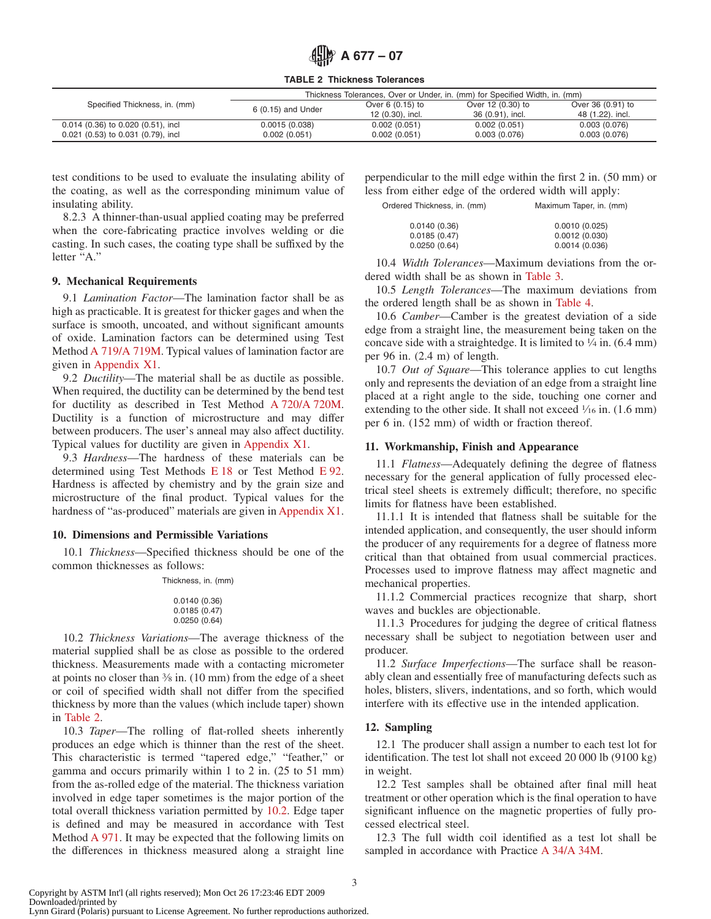**TABLE 2 Thickness Tolerances**

|                                      | Thickness Tolerances, Over or Under, in. (mm) for Specified Width, in. (mm) |                    |                   |                   |  |  |
|--------------------------------------|-----------------------------------------------------------------------------|--------------------|-------------------|-------------------|--|--|
| Specified Thickness, in. (mm)        | 6 (0.15) and Under                                                          | Over 6 $(0.15)$ to | Over 12 (0.30) to | Over 36 (0.91) to |  |  |
|                                      |                                                                             | 12 (0.30), incl.   | 36 (0.91), incl.  | 48 (1.22), incl.  |  |  |
| $0.014$ (0.36) to 0.020 (0.51), incl | 0.0015(0.038)                                                               | 0.002(0.051)       | 0.002(0.051)      | 0.003(0.076)      |  |  |
| $0.021$ (0.53) to 0.031 (0.79), incl | 0.002(0.051)                                                                | 0.002(0.051)       | 0.003(0.076)      | 0.003(0.076)      |  |  |

test conditions to be used to evaluate the insulating ability of the coating, as well as the corresponding minimum value of insulating ability.

8.2.3 A thinner-than-usual applied coating may be preferred when the core-fabricating practice involves welding or die casting. In such cases, the coating type shall be suffixed by the letter "A."

## **9. Mechanical Requirements**

9.1 *Lamination Factor*—The lamination factor shall be as high as practicable. It is greatest for thicker gages and when the surface is smooth, uncoated, and without significant amounts of oxide. Lamination factors can be determined using Test Method [A 719/A 719M.](#page-4-2) Typical values of lamination factor are given in [Appendix X1.](#page-4-1)

9.2 *Ductility*—The material shall be as ductile as possible. When required, the ductility can be determined by the bend test for ductility as described in Test Method [A 720/A 720M.](#page-4-3) Ductility is a function of microstructure and may differ between producers. The user's anneal may also affect ductility. Typical values for ductility are given in [Appendix X1.](#page-4-1)

9.3 *Hardness*—The hardness of these materials can be determined using Test Methods [E 18](#page-4-4) or Test Method [E 92.](#page-0-6) Hardness is affected by chemistry and by the grain size and microstructure of the final product. Typical values for the hardness of "as-produced" materials are given in [Appendix X1.](#page-4-1)

#### **10. Dimensions and Permissible Variations**

10.1 *Thickness*—Specified thickness should be one of the common thicknesses as follows:

Thickness, in. (mm)

| 0.0140 (0.36) |  |
|---------------|--|
| 0.0185 (0.47) |  |
| 0.0250(0.64)  |  |

10.2 *Thickness Variations*—The average thickness of the material supplied shall be as close as possible to the ordered thickness. Measurements made with a contacting micrometer at points no closer than 3⁄8 in. (10 mm) from the edge of a sheet or coil of specified width shall not differ from the specified thickness by more than the values (which include taper) shown in [Table 2.](#page-2-5)

10.3 *Taper*—The rolling of flat-rolled sheets inherently produces an edge which is thinner than the rest of the sheet. This characteristic is termed "tapered edge," "feather," or gamma and occurs primarily within 1 to 2 in. (25 to 51 mm) from the as-rolled edge of the material. The thickness variation involved in edge taper sometimes is the major portion of the total overall thickness variation permitted by [10.2.](#page-2-6) Edge taper is defined and may be measured in accordance with Test Method [A 971.](#page-0-7) It may be expected that the following limits on the differences in thickness measured along a straight line perpendicular to the mill edge within the first 2 in. (50 mm) or less from either edge of the ordered width will apply:

| Ordered Thickness, in. (mm) | Maximum Taper, in. (mm) |  |
|-----------------------------|-------------------------|--|
|                             |                         |  |

<span id="page-2-5"></span><span id="page-2-1"></span>

| 0.0010(0.025) |
|---------------|
| 0.0012(0.030) |
| 0.0014(0.036) |
|               |

10.4 *Width Tolerances*—Maximum deviations from the ordered width shall be as shown in [Table 3.](#page-3-3)

10.5 *Length Tolerances*—The maximum deviations from the ordered length shall be as shown in [Table 4.](#page-3-4)

10.6 *Camber*—Camber is the greatest deviation of a side edge from a straight line, the measurement being taken on the concave side with a straightedge. It is limited to  $\frac{1}{4}$  in. (6.4 mm) per 96 in. (2.4 m) of length.

<span id="page-2-2"></span>10.7 *Out of Square*—This tolerance applies to cut lengths only and represents the deviation of an edge from a straight line placed at a right angle to the side, touching one corner and extending to the other side. It shall not exceed  $\frac{1}{16}$  in. (1.6 mm) per 6 in. (152 mm) of width or fraction thereof.

### **11. Workmanship, Finish and Appearance**

<span id="page-2-4"></span>11.1 *Flatness*—Adequately defining the degree of flatness necessary for the general application of fully processed electrical steel sheets is extremely difficult; therefore, no specific limits for flatness have been established.

11.1.1 It is intended that flatness shall be suitable for the intended application, and consequently, the user should inform the producer of any requirements for a degree of flatness more critical than that obtained from usual commercial practices. Processes used to improve flatness may affect magnetic and mechanical properties.

11.1.2 Commercial practices recognize that sharp, short waves and buckles are objectionable.

<span id="page-2-6"></span>11.1.3 Procedures for judging the degree of critical flatness necessary shall be subject to negotiation between user and producer.

11.2 *Surface Imperfections*—The surface shall be reasonably clean and essentially free of manufacturing defects such as holes, blisters, slivers, indentations, and so forth, which would interfere with its effective use in the intended application.

#### **12. Sampling**

12.1 The producer shall assign a number to each test lot for identification. The test lot shall not exceed 20 000 lb (9100 kg) in weight.

12.2 Test samples shall be obtained after final mill heat treatment or other operation which is the final operation to have significant influence on the magnetic properties of fully processed electrical steel.

<span id="page-2-3"></span><span id="page-2-0"></span>12.3 The full width coil identified as a test lot shall be sampled in accordance with Practice [A 34/A 34M.](#page-3-5)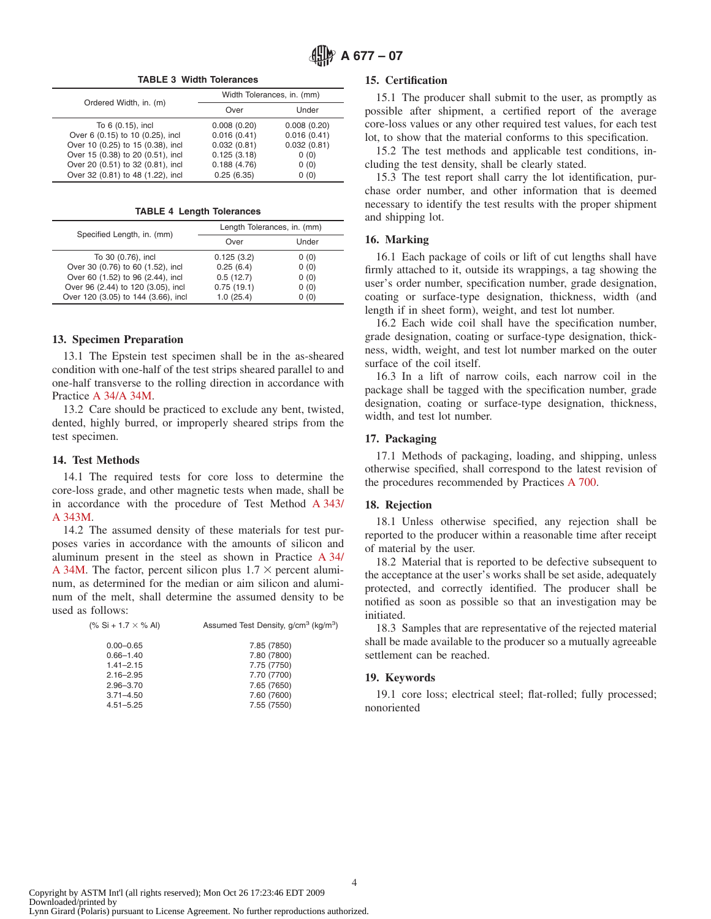**TABLE 3 Width Tolerances**

| Ordered Width, in. (m)            | Width Tolerances, in. (mm) |             |  |  |
|-----------------------------------|----------------------------|-------------|--|--|
|                                   | Over                       | Under       |  |  |
| To 6 (0.15), incl                 | 0.008(0.20)                | 0.008(0.20) |  |  |
| Over 6 (0.15) to 10 (0.25), incl  | 0.016(0.41)                | 0.016(0.41) |  |  |
| Over 10 (0.25) to 15 (0.38), incl | 0.032(0.81)                | 0.032(0.81) |  |  |
| Over 15 (0.38) to 20 (0.51), incl | 0.125(3.18)                | 0(0)        |  |  |
| Over 20 (0.51) to 32 (0.81), incl | 0.188(4.76)                | 0(0)        |  |  |
| Over 32 (0.81) to 48 (1.22), incl | 0.25(6.35)                 | 0(0)        |  |  |

**TABLE 4 Length Tolerances**

| Specified Length, in. (mm)          | Length Tolerances, in. (mm) |       |  |  |
|-------------------------------------|-----------------------------|-------|--|--|
|                                     | Over                        | Under |  |  |
| To 30 (0.76), incl                  | 0.125(3.2)                  | 0(0)  |  |  |
| Over 30 (0.76) to 60 (1.52), incl   | 0.25(6.4)                   | 0(0)  |  |  |
| Over 60 (1.52) to 96 (2.44), incl   | 0.5(12.7)                   | 0(0)  |  |  |
| Over 96 (2.44) to 120 (3.05), incl  | 0.75(19.1)                  | 0(0)  |  |  |
| Over 120 (3.05) to 144 (3.66), incl | 1.0(25.4)                   | 0(0)  |  |  |

#### **13. Specimen Preparation**

13.1 The Epstein test specimen shall be in the as-sheared condition with one-half of the test strips sheared parallel to and one-half transverse to the rolling direction in accordance with Practice [A 34/A 34M.](#page-3-6)

13.2 Care should be practiced to exclude any bent, twisted, dented, highly burred, or improperly sheared strips from the test specimen.

#### **14. Test Methods**

14.1 The required tests for core loss to determine the core-loss grade, and other magnetic tests when made, shall be in accordance with the procedure of Test Method [A 343/](#page-4-5) [A 343M.](#page-4-5)

14.2 The assumed density of these materials for test purposes varies in accordance with the amounts of silicon and aluminum present in the steel as shown in Practice [A 34/](#page-0-8) [A 34M.](#page-0-8) The factor, percent silicon plus  $1.7 \times$  percent aluminum, as determined for the median or aim silicon and aluminum of the melt, shall determine the assumed density to be used as follows:

| (% Si + 1.7 $\times$ % Al) | Assumed Test Density, g/cm <sup>3</sup> (kg/m <sup>3</sup> ) |
|----------------------------|--------------------------------------------------------------|
| $0.00 - 0.65$              | 7.85 (7850)                                                  |
| $0.66 - 1.40$              | 7.80 (7800)                                                  |
| $1.41 - 2.15$              | 7.75 (7750)                                                  |
| $2.16 - 2.95$              | 7.70 (7700)                                                  |
| $2.96 - 3.70$              | 7.65 (7650)                                                  |
| $3.71 - 4.50$              | 7.60 (7600)                                                  |
| $4.51 - 5.25$              | 7.55 (7550)                                                  |

## <span id="page-3-3"></span>**15. Certification**

15.1 The producer shall submit to the user, as promptly as possible after shipment, a certified report of the average core-loss values or any other required test values, for each test lot, to show that the material conforms to this specification.

15.2 The test methods and applicable test conditions, including the test density, shall be clearly stated.

<span id="page-3-4"></span>15.3 The test report shall carry the lot identification, purchase order number, and other information that is deemed necessary to identify the test results with the proper shipment and shipping lot.

#### **16. Marking**

16.1 Each package of coils or lift of cut lengths shall have firmly attached to it, outside its wrappings, a tag showing the user's order number, specification number, grade designation, coating or surface-type designation, thickness, width (and length if in sheet form), weight, and test lot number.

16.2 Each wide coil shall have the specification number, grade designation, coating or surface-type designation, thickness, width, weight, and test lot number marked on the outer surface of the coil itself.

<span id="page-3-5"></span>16.3 In a lift of narrow coils, each narrow coil in the package shall be tagged with the specification number, grade designation, coating or surface-type designation, thickness, width, and test lot number.

## **17. Packaging**

<span id="page-3-1"></span>17.1 Methods of packaging, loading, and shipping, unless otherwise specified, shall correspond to the latest revision of the procedures recommended by Practices [A 700.](#page-0-9)

#### <span id="page-3-0"></span>**18. Rejection**

<span id="page-3-2"></span>18.1 Unless otherwise specified, any rejection shall be reported to the producer within a reasonable time after receipt of material by the user.

<span id="page-3-6"></span>18.2 Material that is reported to be defective subsequent to the acceptance at the user's works shall be set aside, adequately protected, and correctly identified. The producer shall be notified as soon as possible so that an investigation may be initiated.

18.3 Samples that are representative of the rejected material shall be made available to the producer so a mutually agreeable settlement can be reached.

#### **19. Keywords**

19.1 core loss; electrical steel; flat-rolled; fully processed; nonoriented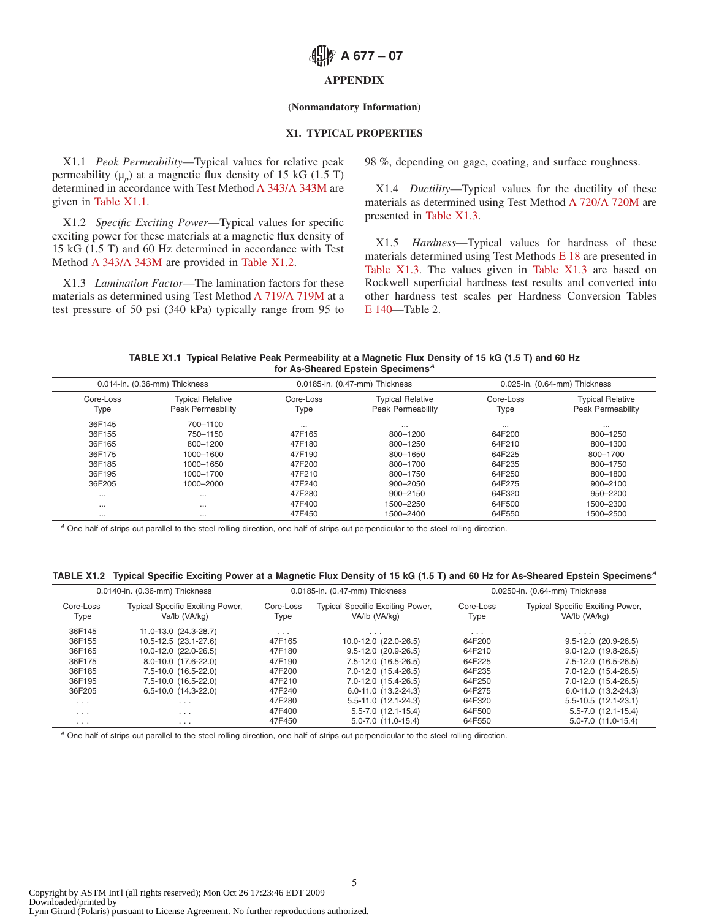## **APPENDIX**

## **(Nonmandatory Information)**

## **X1. TYPICAL PROPERTIES**

X1.1 *Peak Permeability*—Typical values for relative peak permeability  $(\mu_p)$  at a magnetic flux density of 15 kG (1.5 T) determined in accordance with Test Method [A 343/A 343M](#page-4-6) are given in [Table X1.1.](#page-4-7)

X1.2 *Specific Exciting Power*—Typical values for specific exciting power for these materials at a magnetic flux density of 15 kG (1.5 T) and 60 Hz determined in accordance with Test Method [A 343/A 343M](#page-0-10) are provided in [Table X1.2.](#page-4-8)

X1.3 *Lamination Factor*—The lamination factors for these materials as determined using Test Method [A 719/A 719M](#page-0-11) at a test pressure of 50 psi (340 kPa) typically range from 95 to <span id="page-4-1"></span>98 %, depending on gage, coating, and surface roughness.

<span id="page-4-5"></span><span id="page-4-3"></span>X1.4 *Ductility*—Typical values for the ductility of these materials as determined using Test Method [A 720/A 720M](#page-5-0) are presented in [Table X1.3.](#page-5-1)

<span id="page-4-8"></span><span id="page-4-7"></span><span id="page-4-6"></span><span id="page-4-4"></span><span id="page-4-2"></span><span id="page-4-0"></span>X1.5 *Hardness*—Typical values for hardness of these materials determined using Test Methods [E 18](#page-0-12) are presented in [Table X1.3.](#page-5-1) The values given in [Table X1.3](#page-5-1) are based on Rockwell superficial hardness test results and converted into other hardness test scales per Hardness Conversion Tables [E 140—](#page-0-13)Table 2.

| TABLE X1.1 Typical Relative Peak Permeability at a Magnetic Flux Density of 15 kG (1.5 T) and 60 Hz |
|-----------------------------------------------------------------------------------------------------|
| for As-Sheared Epstein Specimens <sup>A</sup>                                                       |

| 0.014-in. (0.36-mm) Thickness |                                                     |                   | 0.0185-in. (0.47-mm) Thickness               | 0.025-in. (0.64-mm) Thickness |                                              |  |
|-------------------------------|-----------------------------------------------------|-------------------|----------------------------------------------|-------------------------------|----------------------------------------------|--|
| Core-Loss<br>Type             | <b>Typical Relative</b><br><b>Peak Permeability</b> | Core-Loss<br>Type | <b>Typical Relative</b><br>Peak Permeability | Core-Loss<br>Type             | <b>Typical Relative</b><br>Peak Permeability |  |
| 36F145                        | 700-1100                                            | $\cdots$          | $\cdots$                                     | $\cdots$                      | $\cdots$                                     |  |
| 36F155                        | 750-1150                                            | 47F165            | 800-1200                                     | 64F200                        | 800-1250                                     |  |
| 36F165                        | 800-1200                                            | 47F180            | 800-1250                                     | 64F210                        | 800-1300                                     |  |
| 36F175                        | 1000-1600                                           | 47F190            | 800-1650                                     | 64F225                        | 800-1700                                     |  |
| 36F185                        | 1000-1650                                           | 47F200            | 800-1700                                     | 64F235                        | 800-1750                                     |  |
| 36F195                        | 1000-1700                                           | 47F210            | 800-1750                                     | 64F250                        | 800-1800                                     |  |
| 36F205                        | 1000-2000                                           | 47F240            | 900-2050                                     | 64F275                        | 900-2100                                     |  |
| $\cdots$                      | $\cdots$                                            | 47F280            | 900-2150                                     | 64F320                        | 950-2200                                     |  |
| $\cdots$                      | $\cdots$                                            | 47F400            | 1500-2250                                    | 64F500                        | 1500-2300                                    |  |
| $\cdots$                      | $\cdots$                                            | 47F450            | 1500-2400                                    | 64F550                        | 1500-2500                                    |  |

*<sup>A</sup>* One half of strips cut parallel to the steel rolling direction, one half of strips cut perpendicular to the steel rolling direction.

## **TABLE X1.2 Typical Specific Exciting Power at a Magnetic Flux Density of 15 kG (1.5 T) and 60 Hz for As-Sheared Epstein Specimens***<sup>A</sup>*

| 0.0140-in. (0.36-mm) Thickness |                                                   |                   | 0.0185-in. (0.47-mm) Thickness                           | 0.0250-in. (0.64-mm) Thickness |                                                          |  |
|--------------------------------|---------------------------------------------------|-------------------|----------------------------------------------------------|--------------------------------|----------------------------------------------------------|--|
| Core-Loss<br>Type              | Typical Specific Exciting Power,<br>Va/lb (VA/kg) | Core-Loss<br>Type | <b>Typical Specific Exciting Power,</b><br>VA/lb (VA/kg) | Core-Loss<br>Type              | <b>Typical Specific Exciting Power,</b><br>VA/lb (VA/kg) |  |
| 36F145                         | 11.0-13.0 (24.3-28.7)                             | $\cdots$          | $\cdots$                                                 | $\cdots$                       | $\cdots$                                                 |  |
| 36F155                         | 10.5-12.5 (23.1-27.6)                             | 47F165            | 10.0-12.0 (22.0-26.5)                                    | 64F200                         | $9.5 - 12.0$ (20.9-26.5)                                 |  |
| 36F165                         | 10.0-12.0 (22.0-26.5)                             | 47F180            | $9.5 - 12.0$ (20.9-26.5)                                 | 64F210                         | $9.0 - 12.0$ (19.8-26.5)                                 |  |
| 36F175                         | 8.0-10.0 (17.6-22.0)                              | 47F190            | 7.5-12.0 (16.5-26.5)                                     | 64F225                         | 7.5-12.0 (16.5-26.5)                                     |  |
| 36F185                         | 7.5-10.0 (16.5-22.0)                              | 47F200            | 7.0-12.0 (15.4-26.5)                                     | 64F235                         | 7.0-12.0 (15.4-26.5)                                     |  |
| 36F195                         | 7.5-10.0 (16.5-22.0)                              | 47F210            | 7.0-12.0 (15.4-26.5)                                     | 64F250                         | 7.0-12.0 (15.4-26.5)                                     |  |
| 36F205                         | $6.5 - 10.0$ $(14.3 - 22.0)$                      | 47F240            | $6.0 - 11.0$ (13.2-24.3)                                 | 64F275                         | 6.0-11.0 (13.2-24.3)                                     |  |
| $\cdots$                       | $\cdots$                                          | 47F280            | $5.5 - 11.0$ $(12.1 - 24.3)$                             | 64F320                         | $5.5 - 10.5$ (12.1-23.1)                                 |  |
| $\cdots$                       | $\cdots$                                          | 47F400            | $5.5 - 7.0$ (12.1-15.4)                                  | 64F500                         | $5.5 - 7.0$ (12.1-15.4)                                  |  |
| $\cdots$                       | $\cdots$                                          | 47F450            | $5.0 - 7.0$ (11.0-15.4)                                  | 64F550                         | $5.0 - 7.0$ $(11.0 - 15.4)$                              |  |

*<sup>A</sup>* One half of strips cut parallel to the steel rolling direction, one half of strips cut perpendicular to the steel rolling direction.